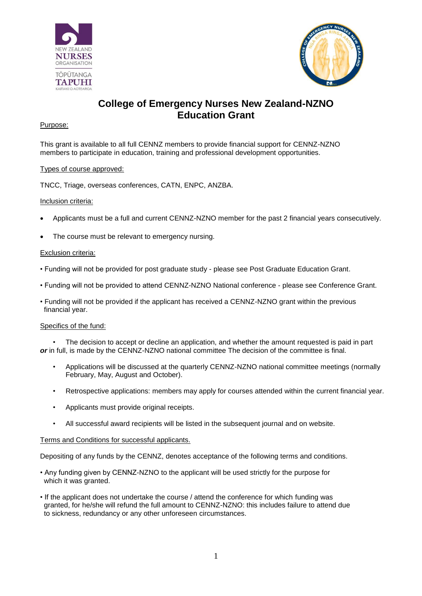



# **College of Emergency Nurses New Zealand-NZNO Education Grant**

## Purpose:

This grant is available to all full CENNZ members to provide financial support for CENNZ-NZNO members to participate in education, training and professional development opportunities.

# Types of course approved:

TNCC, Triage, overseas conferences, CATN, ENPC, ANZBA.

### Inclusion criteria:

- Applicants must be a full and current CENNZ-NZNO member for the past 2 financial years consecutively.
- The course must be relevant to emergency nursing.

# Exclusion criteria:

- Funding will not be provided for post graduate study please see Post Graduate Education Grant.
- Funding will not be provided to attend CENNZ-NZNO National conference please see Conference Grant.
- Funding will not be provided if the applicant has received a CENNZ-NZNO grant within the previous financial year.

### Specifics of the fund:

The decision to accept or decline an application, and whether the amount requested is paid in part *or* in full, is made by the CENNZ-NZNO national committee The decision of the committee is final.

- Applications will be discussed at the quarterly CENNZ-NZNO national committee meetings (normally February, May, August and October).
- Retrospective applications: members may apply for courses attended within the current financial year.
- Applicants must provide original receipts.
- All successful award recipients will be listed in the subsequent journal and on website.

### Terms and Conditions for successful applicants.

Depositing of any funds by the CENNZ, denotes acceptance of the following terms and conditions.

- Any funding given by CENNZ-NZNO to the applicant will be used strictly for the purpose for which it was granted.
- If the applicant does not undertake the course / attend the conference for which funding was granted, for he/she will refund the full amount to CENNZ-NZNO: this includes failure to attend due to sickness, redundancy or any other unforeseen circumstances.